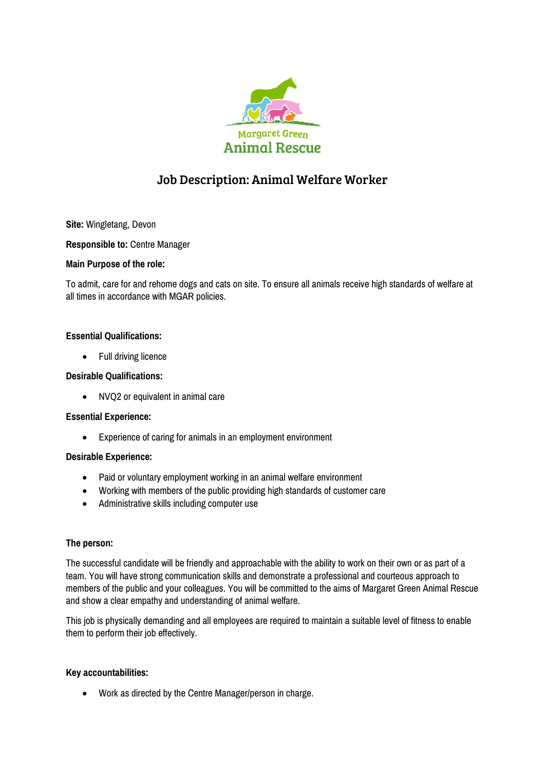

# Job Description: Animal Welfare Worker

**Site:** Wingletang, Devon

**Responsible to:** Centre Manager

# **Main Purpose of the role:**

To admit, care for and rehome dogs and cats on site. To ensure all animals receive high standards of welfare at all times in accordance with MGAR policies.

# **Essential Qualifications:**

• Full driving licence

# **Desirable Qualifications:**

NVQ2 or equivalent in animal care

### **Essential Experience:**

Experience of caring for animals in an employment environment

### **Desirable Experience:**

- Paid or voluntary employment working in an animal welfare environment
- Working with members of the public providing high standards of customer care
- Administrative skills including computer use

### **The person:**

The successful candidate will be friendly and approachable with the ability to work on their own or as part of a team. You will have strong communication skills and demonstrate a professional and courteous approach to members of the public and your colleagues. You will be committed to the aims of Margaret Green Animal Rescue and show a clear empathy and understanding of animal welfare.

This job is physically demanding and all employees are required to maintain a suitable level of fitness to enable them to perform their job effectively.

### **Key accountabilities:**

Work as directed by the Centre Manager/person in charge.